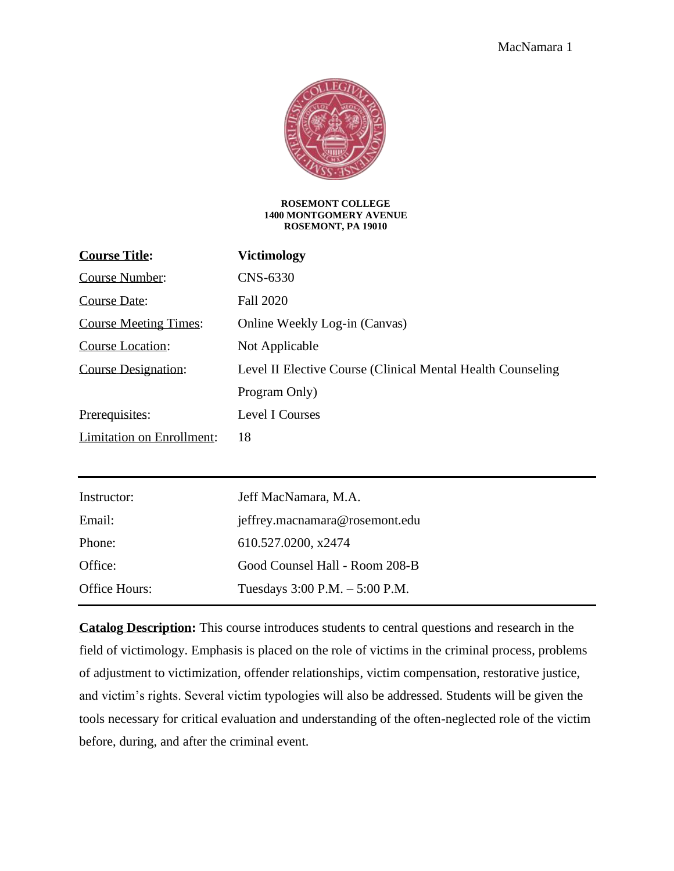

#### **ROSEMONT COLLEGE 1400 MONTGOMERY AVENUE ROSEMONT, PA 19010**

| <b>Victimology</b>                                           |
|--------------------------------------------------------------|
| CNS-6330                                                     |
| <b>Fall 2020</b>                                             |
| Online Weekly Log-in (Canvas)                                |
| Not Applicable                                               |
| Level II Elective Course (Clinical Mental Health Counseling) |
| Program Only)                                                |
|                                                              |
| Level I Courses                                              |
| 18                                                           |
|                                                              |
| Jeff MacNamara, M.A.                                         |
| jeffrey.macnamara@rosemont.edu                               |
| 610.527.0200, x2474                                          |
| Good Counsel Hall - Room 208-B                               |
|                                                              |

**Catalog Description:** This course introduces students to central questions and research in the field of victimology. Emphasis is placed on the role of victims in the criminal process, problems of adjustment to victimization, offender relationships, victim compensation, restorative justice, and victim's rights. Several victim typologies will also be addressed. Students will be given the tools necessary for critical evaluation and understanding of the often-neglected role of the victim before, during, and after the criminal event.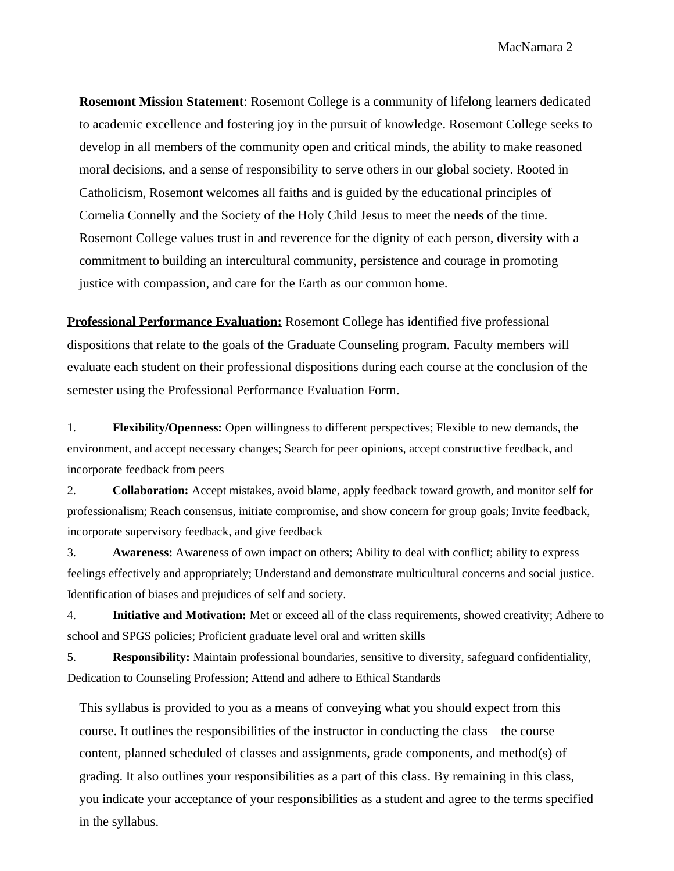MacNamara 2

**Rosemont Mission Statement**: Rosemont College is a community of lifelong learners dedicated to academic excellence and fostering joy in the pursuit of knowledge. Rosemont College seeks to develop in all members of the community open and critical minds, the ability to make reasoned moral decisions, and a sense of responsibility to serve others in our global society. Rooted in Catholicism, Rosemont welcomes all faiths and is guided by the educational principles of Cornelia Connelly and the Society of the Holy Child Jesus to meet the needs of the time. Rosemont College values trust in and reverence for the dignity of each person, diversity with a commitment to building an intercultural community, persistence and courage in promoting justice with compassion, and care for the Earth as our common home.

**Professional Performance Evaluation:** Rosemont College has identified five professional dispositions that relate to the goals of the Graduate Counseling program. Faculty members will evaluate each student on their professional dispositions during each course at the conclusion of the semester using the Professional Performance Evaluation Form.

1. **Flexibility/Openness:** Open willingness to different perspectives; Flexible to new demands, the environment, and accept necessary changes; Search for peer opinions, accept constructive feedback, and incorporate feedback from peers

2. **Collaboration:** Accept mistakes, avoid blame, apply feedback toward growth, and monitor self for professionalism; Reach consensus, initiate compromise, and show concern for group goals; Invite feedback, incorporate supervisory feedback, and give feedback

3. **Awareness:** Awareness of own impact on others; Ability to deal with conflict; ability to express feelings effectively and appropriately; Understand and demonstrate multicultural concerns and social justice. Identification of biases and prejudices of self and society.

4. **Initiative and Motivation:** Met or exceed all of the class requirements, showed creativity; Adhere to school and SPGS policies; Proficient graduate level oral and written skills

5. **Responsibility:** Maintain professional boundaries, sensitive to diversity, safeguard confidentiality, Dedication to Counseling Profession; Attend and adhere to Ethical Standards

This syllabus is provided to you as a means of conveying what you should expect from this course. It outlines the responsibilities of the instructor in conducting the class – the course content, planned scheduled of classes and assignments, grade components, and method(s) of grading. It also outlines your responsibilities as a part of this class. By remaining in this class, you indicate your acceptance of your responsibilities as a student and agree to the terms specified in the syllabus.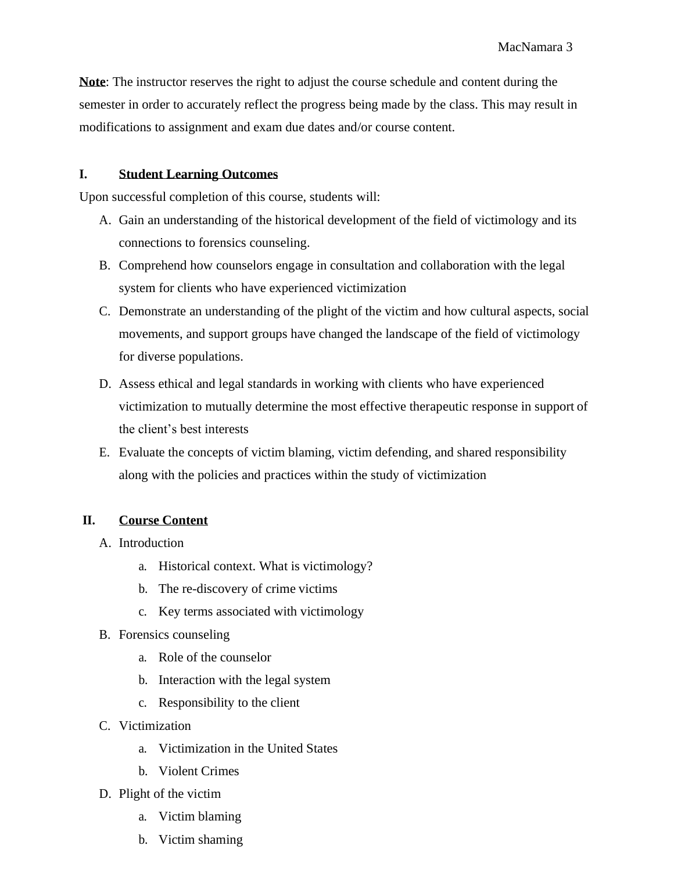**Note**: The instructor reserves the right to adjust the course schedule and content during the semester in order to accurately reflect the progress being made by the class. This may result in modifications to assignment and exam due dates and/or course content.

### **I. Student Learning Outcomes**

Upon successful completion of this course, students will:

- A. Gain an understanding of the historical development of the field of victimology and its connections to forensics counseling.
- B. Comprehend how counselors engage in consultation and collaboration with the legal system for clients who have experienced victimization
- C. Demonstrate an understanding of the plight of the victim and how cultural aspects, social movements, and support groups have changed the landscape of the field of victimology for diverse populations.
- D. Assess ethical and legal standards in working with clients who have experienced victimization to mutually determine the most effective therapeutic response in support of the client's best interests
- E. Evaluate the concepts of victim blaming, victim defending, and shared responsibility along with the policies and practices within the study of victimization

# **II. Course Content**

- A. Introduction
	- a. Historical context. What is victimology?
	- b. The re-discovery of crime victims
	- c. Key terms associated with victimology
- B. Forensics counseling
	- a. Role of the counselor
	- b. Interaction with the legal system
	- c. Responsibility to the client
- C. Victimization
	- a. Victimization in the United States
	- b. Violent Crimes
- D. Plight of the victim
	- a. Victim blaming
	- b. Victim shaming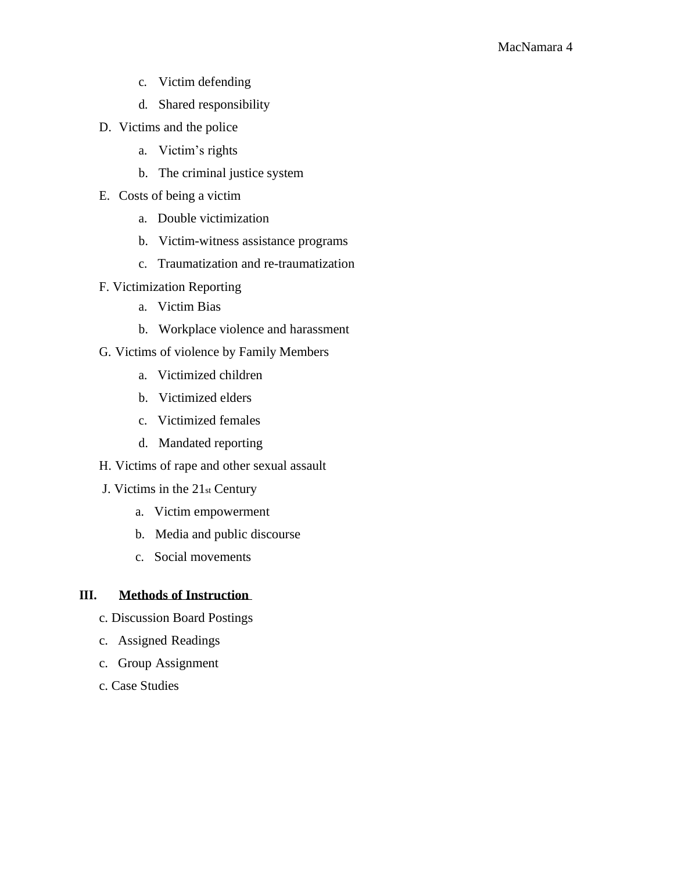- c. Victim defending
- d. Shared responsibility
- D. Victims and the police
	- a. Victim's rights
	- b. The criminal justice system
- E. Costs of being a victim
	- a. Double victimization
	- b. Victim-witness assistance programs
	- c. Traumatization and re-traumatization
- F. Victimization Reporting
	- a. Victim Bias
	- b. Workplace violence and harassment
- G. Victims of violence by Family Members
	- a. Victimized children
	- b. Victimized elders
	- c. Victimized females
	- d. Mandated reporting
- H. Victims of rape and other sexual assault
- J. Victims in the 21st Century
	- a. Victim empowerment
	- b. Media and public discourse
	- c. Social movements

# **III. Methods of Instruction**

- c. Discussion Board Postings
- c. Assigned Readings
- c. Group Assignment
- c. Case Studies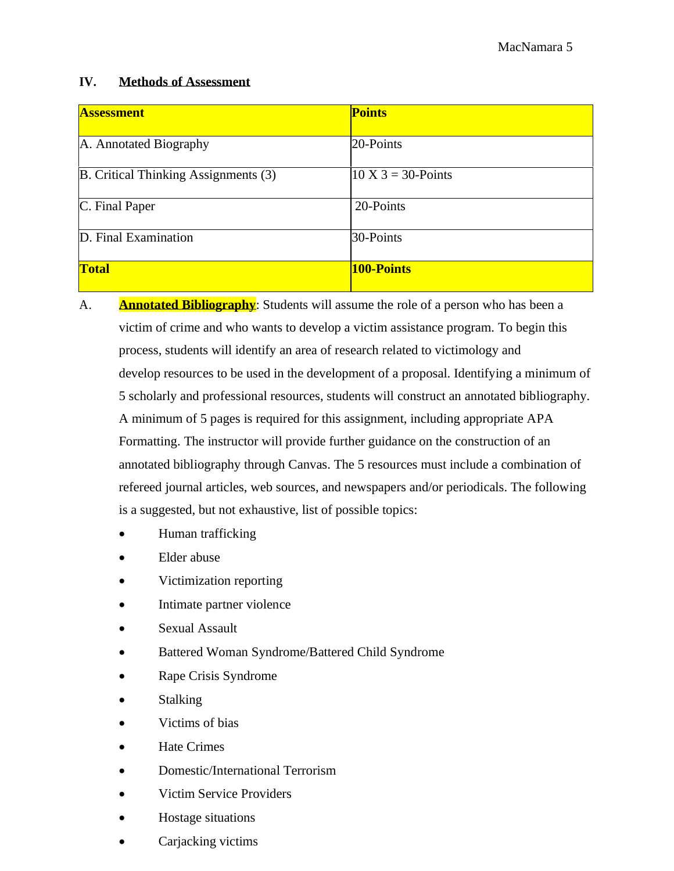### **IV. Methods of Assessment**

| <b>Assessment</b>                    | <b>Points</b>                  |
|--------------------------------------|--------------------------------|
| A. Annotated Biography               | 20-Points                      |
| B. Critical Thinking Assignments (3) | $10 \text{ X } 3 = 30$ -Points |
| C. Final Paper                       | 20-Points                      |
| D. Final Examination                 | 30-Points                      |
| <b>Total</b>                         | <b>100-Points</b>              |

- A. **Annotated Bibliography**: Students will assume the role of a person who has been a victim of crime and who wants to develop a victim assistance program. To begin this process, students will identify an area of research related to victimology and develop resources to be used in the development of a proposal. Identifying a minimum of 5 scholarly and professional resources, students will construct an annotated bibliography. A minimum of 5 pages is required for this assignment, including appropriate APA Formatting. The instructor will provide further guidance on the construction of an annotated bibliography through Canvas. The 5 resources must include a combination of refereed journal articles, web sources, and newspapers and/or periodicals. The following is a suggested, but not exhaustive, list of possible topics:
	- Human trafficking
	- Elder abuse
	- Victimization reporting
	- Intimate partner violence
	- Sexual Assault
	- Battered Woman Syndrome/Battered Child Syndrome
	- Rape Crisis Syndrome
	- **Stalking**
	- Victims of bias
	- Hate Crimes
	- Domestic/International Terrorism
	- Victim Service Providers
	- Hostage situations
	- Carjacking victims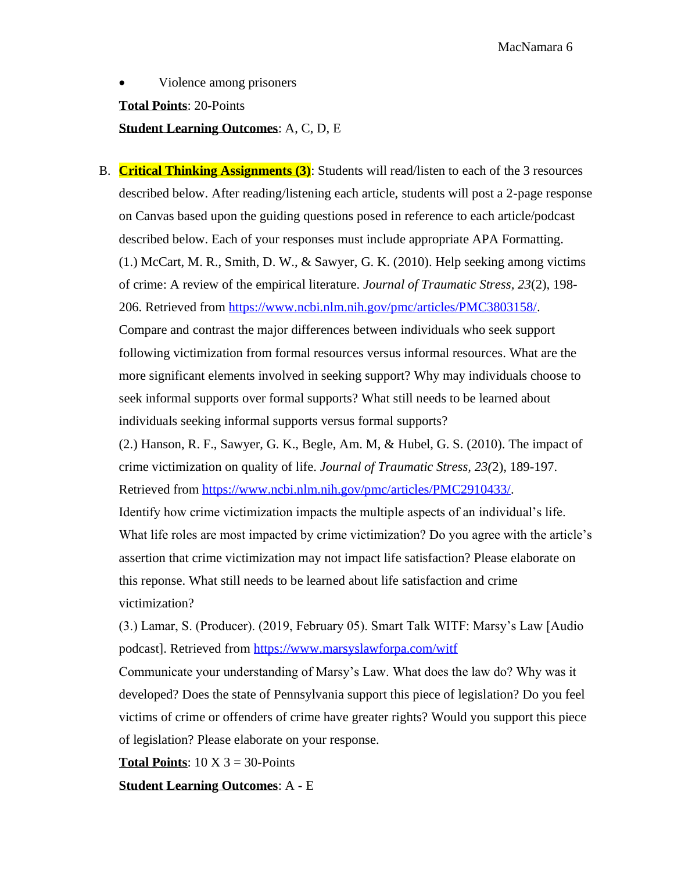MacNamara 6

Violence among prisoners **Total Points**: 20-Points **Student Learning Outcomes**: A, C, D, E

B. **Critical Thinking Assignments (3)**: Students will read/listen to each of the 3 resources described below. After reading/listening each article, students will post a 2-page response on Canvas based upon the guiding questions posed in reference to each article/podcast described below. Each of your responses must include appropriate APA Formatting. (1.) McCart, M. R., Smith, D. W., & Sawyer, G. K. (2010). Help seeking among victims of crime: A review of the empirical literature. *Journal of Traumatic Stress, 23*(2), 198- 206. Retrieved from [https://www.ncbi.nlm.nih.gov/pmc/articles/PMC3803158/.](https://www.ncbi.nlm.nih.gov/pmc/articles/PMC3803158/) Compare and contrast the major differences between individuals who seek support following victimization from formal resources versus informal resources. What are the more significant elements involved in seeking support? Why may individuals choose to seek informal supports over formal supports? What still needs to be learned about individuals seeking informal supports versus formal supports?  $(2.)$  Hanson, R. F., Sawyer, G. K., Begle, Am. M, & Hubel, G. S.  $(2010)$ . The impact of crime victimization on quality of life. *Journal of Traumatic Stress, 23(*2), 189-197. Retrieved from [https://www.ncbi.nlm.nih.gov/pmc/articles/PMC2910433/.](https://www.ncbi.nlm.nih.gov/pmc/articles/PMC2910433/) Identify how crime victimization impacts the multiple aspects of an individual's life. What life roles are most impacted by crime victimization? Do you agree with the article's assertion that crime victimization may not impact life satisfaction? Please elaborate on this reponse. What still needs to be learned about life satisfaction and crime victimization?

(3.) Lamar, S. (Producer). (2019, February 05). Smart Talk WITF: Marsy's Law [Audio podcast]. Retrieved from<https://www.marsyslawforpa.com/witf>

Communicate your understanding of Marsy's Law. What does the law do? Why was it developed? Does the state of Pennsylvania support this piece of legislation? Do you feel victims of crime or offenders of crime have greater rights? Would you support this piece of legislation? Please elaborate on your response.

**Total Points**:  $10 \text{ X } 3 = 30$ -Points

**Student Learning Outcomes**: A - E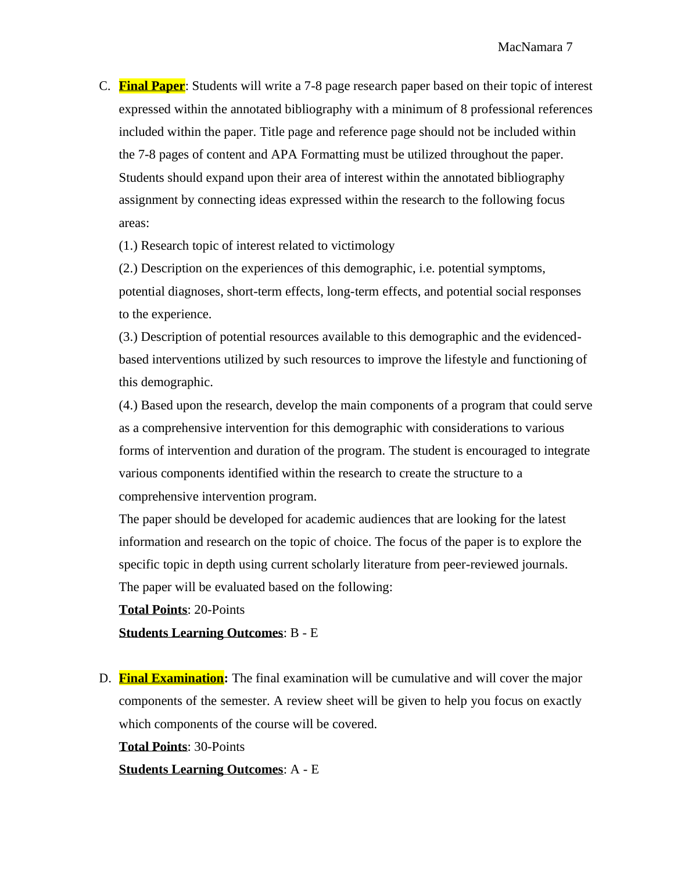C. **Final Paper**: Students will write a 7-8 page research paper based on their topic of interest expressed within the annotated bibliography with a minimum of 8 professional references included within the paper. Title page and reference page should not be included within the 7-8 pages of content and APA Formatting must be utilized throughout the paper. Students should expand upon their area of interest within the annotated bibliography assignment by connecting ideas expressed within the research to the following focus areas:

(1.) Research topic of interest related to victimology

(2.) Description on the experiences of this demographic, i.e. potential symptoms, potential diagnoses, short-term effects, long-term effects, and potential social responses to the experience.

(3.) Description of potential resources available to this demographic and the evidencedbased interventions utilized by such resources to improve the lifestyle and functioning of this demographic.

(4.) Based upon the research, develop the main components of a program that could serve as a comprehensive intervention for this demographic with considerations to various forms of intervention and duration of the program. The student is encouraged to integrate various components identified within the research to create the structure to a comprehensive intervention program.

The paper should be developed for academic audiences that are looking for the latest information and research on the topic of choice. The focus of the paper is to explore the specific topic in depth using current scholarly literature from peer-reviewed journals. The paper will be evaluated based on the following:

**Total Points**: 20-Points

**Students Learning Outcomes**: B - E

D. **Final Examination:** The final examination will be cumulative and will cover the major components of the semester. A review sheet will be given to help you focus on exactly which components of the course will be covered.

**Total Points**: 30-Points

**Students Learning Outcomes**: A - E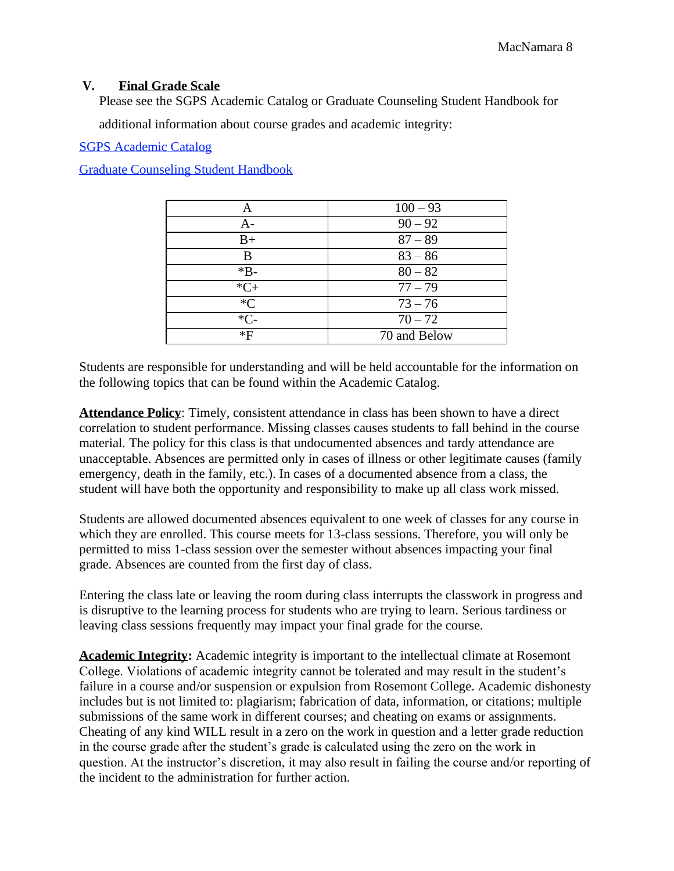#### **V. Final Grade Scale**

Please see the SGPS Academic Catalog or Graduate Counseling Student Handbook for

additional information about course grades and academic integrity:

SGPS Academic Catalog

Graduate Counseling Student Handbook

| Α     | $100 - 93$   |
|-------|--------------|
| A-    | $90 - 92$    |
| $B+$  | $87 - 89$    |
| B     | $83 - 86$    |
| $*B-$ | $80 - 82$    |
| $*C+$ | $77 - 79$    |
| $C^*$ | $73 - 76$    |
| $*C-$ | $70 - 72$    |
| *F    | 70 and Below |

Students are responsible for understanding and will be held accountable for the information on the following topics that can be found within the Academic Catalog.

**Attendance Policy**: Timely, consistent attendance in class has been shown to have a direct correlation to student performance. Missing classes causes students to fall behind in the course material. The policy for this class is that undocumented absences and tardy attendance are unacceptable. Absences are permitted only in cases of illness or other legitimate causes (family emergency, death in the family, etc.). In cases of a documented absence from a class, the student will have both the opportunity and responsibility to make up all class work missed.

Students are allowed documented absences equivalent to one week of classes for any course in which they are enrolled. This course meets for 13-class sessions. Therefore, you will only be permitted to miss 1-class session over the semester without absences impacting your final grade. Absences are counted from the first day of class.

Entering the class late or leaving the room during class interrupts the classwork in progress and is disruptive to the learning process for students who are trying to learn. Serious tardiness or leaving class sessions frequently may impact your final grade for the course.

**Academic Integrity:** Academic integrity is important to the intellectual climate at Rosemont College. Violations of academic integrity cannot be tolerated and may result in the student's failure in a course and/or suspension or expulsion from Rosemont College. Academic dishonesty includes but is not limited to: plagiarism; fabrication of data, information, or citations; multiple submissions of the same work in different courses; and cheating on exams or assignments. Cheating of any kind WILL result in a zero on the work in question and a letter grade reduction in the course grade after the student's grade is calculated using the zero on the work in question. At the instructor's discretion, it may also result in failing the course and/or reporting of the incident to the administration for further action.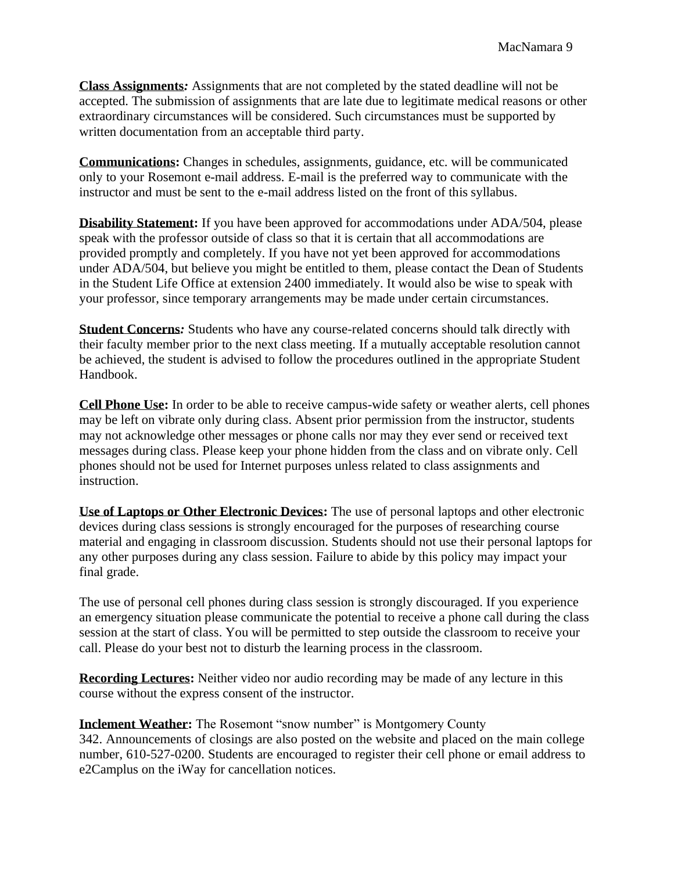**Class Assignments***:* Assignments that are not completed by the stated deadline will not be accepted. The submission of assignments that are late due to legitimate medical reasons or other extraordinary circumstances will be considered. Such circumstances must be supported by written documentation from an acceptable third party.

**Communications:** Changes in schedules, assignments, guidance, etc. will be communicated only to your Rosemont e-mail address. E-mail is the preferred way to communicate with the instructor and must be sent to the e-mail address listed on the front of this syllabus.

**Disability Statement:** If you have been approved for accommodations under ADA/504, please speak with the professor outside of class so that it is certain that all accommodations are provided promptly and completely. If you have not yet been approved for accommodations under ADA/504, but believe you might be entitled to them, please contact the Dean of Students in the Student Life Office at extension 2400 immediately. It would also be wise to speak with your professor, since temporary arrangements may be made under certain circumstances.

**Student Concerns***:* Students who have any course-related concerns should talk directly with their faculty member prior to the next class meeting. If a mutually acceptable resolution cannot be achieved, the student is advised to follow the procedures outlined in the appropriate Student Handbook.

**Cell Phone Use:** In order to be able to receive campus-wide safety or weather alerts, cell phones may be left on vibrate only during class. Absent prior permission from the instructor, students may not acknowledge other messages or phone calls nor may they ever send or received text messages during class. Please keep your phone hidden from the class and on vibrate only. Cell phones should not be used for Internet purposes unless related to class assignments and instruction.

**Use of Laptops or Other Electronic Devices:** The use of personal laptops and other electronic devices during class sessions is strongly encouraged for the purposes of researching course material and engaging in classroom discussion. Students should not use their personal laptops for any other purposes during any class session. Failure to abide by this policy may impact your final grade.

The use of personal cell phones during class session is strongly discouraged. If you experience an emergency situation please communicate the potential to receive a phone call during the class session at the start of class. You will be permitted to step outside the classroom to receive your call. Please do your best not to disturb the learning process in the classroom.

**Recording Lectures:** Neither video nor audio recording may be made of any lecture in this course without the express consent of the instructor.

**Inclement Weather:** The Rosemont "snow number" is Montgomery County 342. Announcements of closings are also posted on the website and placed on the main college number, 610-527-0200. Students are encouraged to register their cell phone or email address to e2Camplus on the iWay for cancellation notices.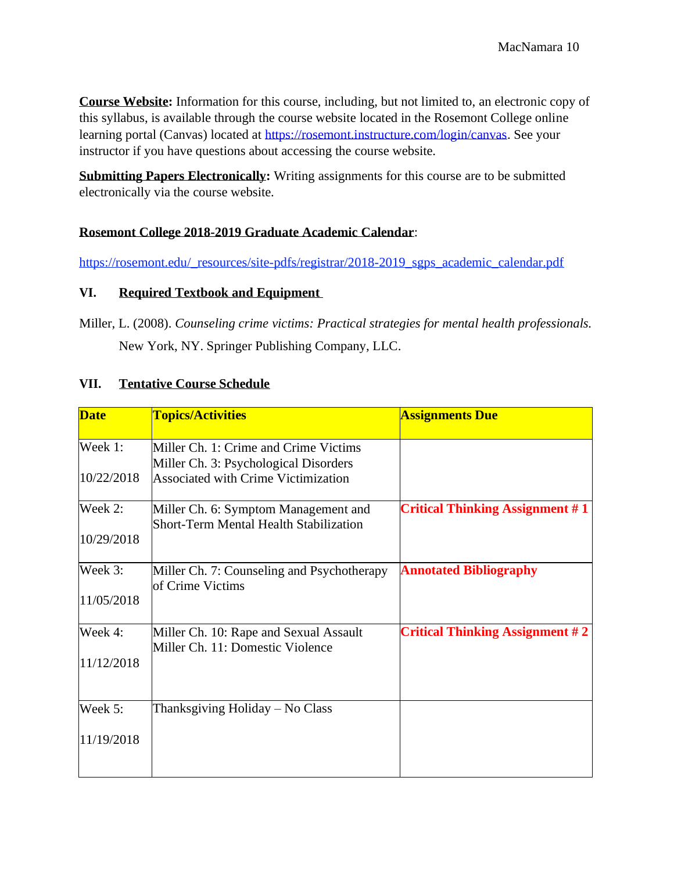**Course Website:** Information for this course, including, but not limited to, an electronic copy of this syllabus, is available through the course website located in the Rosemont College online learning portal (Canvas) located at [https://rosemont.instructure.com/login/canvas.](https://rosemont.instructure.com/login/canvas) See your instructor if you have questions about accessing the course website.

**Submitting Papers Electronically:** Writing assignments for this course are to be submitted electronically via the course website.

#### **Rosemont College 2018-2019 Graduate Academic Calendar**:

[https://rosemont.edu/\\_resources/site-pdfs/registrar/2018-2019\\_sgps\\_academic\\_calendar.pdf](https://rosemont.edu/_resources/site-pdfs/registrar/2018-2019_sgps_academic_calendar.pdf)

#### **VI. Required Textbook and Equipment**

Miller, L. (2008). *Counseling crime victims: Practical strategies for mental health professionals.* New York, NY. Springer Publishing Company, LLC.

#### **VII. Tentative Course Schedule**

| <b>Date</b> | <b>Topics/Activities</b>                                                       | <b>Assignments Due</b>                 |
|-------------|--------------------------------------------------------------------------------|----------------------------------------|
| Week 1:     | Miller Ch. 1: Crime and Crime Victims<br>Miller Ch. 3: Psychological Disorders |                                        |
| 10/22/2018  | <b>Associated with Crime Victimization</b>                                     |                                        |
| Week 2:     | Miller Ch. 6: Symptom Management and<br>Short-Term Mental Health Stabilization | <b>Critical Thinking Assignment #1</b> |
| 10/29/2018  |                                                                                |                                        |
| Week 3:     | Miller Ch. 7: Counseling and Psychotherapy<br>of Crime Victims                 | <b>Annotated Bibliography</b>          |
| 11/05/2018  |                                                                                |                                        |
| Week 4:     | Miller Ch. 10: Rape and Sexual Assault<br>Miller Ch. 11: Domestic Violence     | <b>Critical Thinking Assignment #2</b> |
| 11/12/2018  |                                                                                |                                        |
| Week 5:     | Thanksgiving Holiday – No Class                                                |                                        |
| 11/19/2018  |                                                                                |                                        |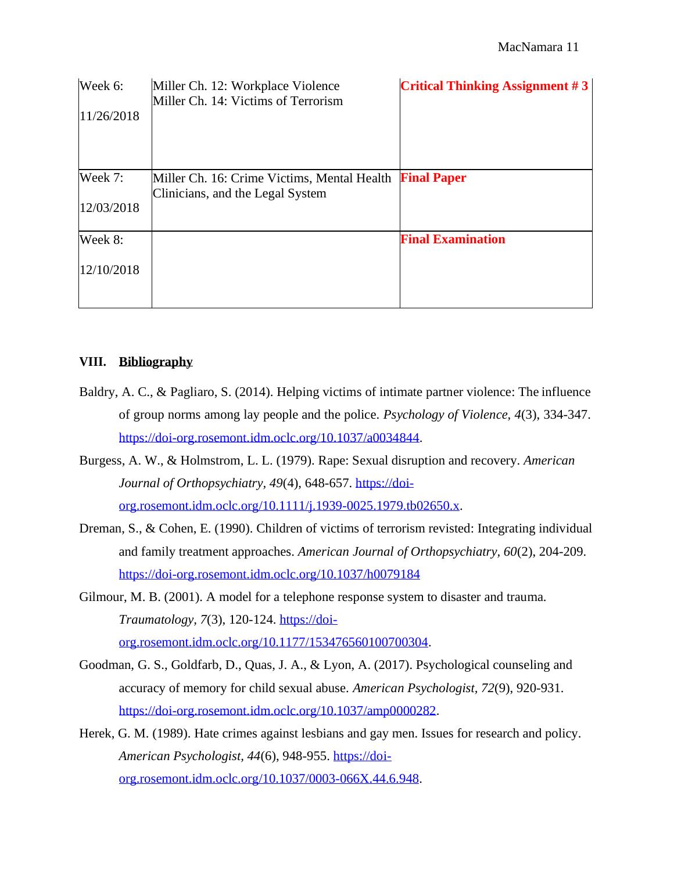| Week 6:<br>11/26/2018 | Miller Ch. 12: Workplace Violence<br>Miller Ch. 14: Victims of Terrorism        | <b>Critical Thinking Assignment #3</b> |
|-----------------------|---------------------------------------------------------------------------------|----------------------------------------|
| Week 7:               | Miller Ch. 16: Crime Victims, Mental Health<br>Clinicians, and the Legal System | <b>Final Paper</b>                     |
| 12/03/2018            |                                                                                 |                                        |
| Week 8:               |                                                                                 | <b>Final Examination</b>               |
| 12/10/2018            |                                                                                 |                                        |

#### **VIII. Bibliography**

- Baldry, A. C., & Pagliaro, S. (2014). Helping victims of intimate partner violence: The influence of group norms among lay people and the police. *Psychology of Violence, 4*(3), 334-347. [https://doi-org.rosemont.idm.oclc.org/10.1037/a0034844.](https://doi-org.rosemont.idm.oclc.org/10.1037/a0034844)
- Burgess, A. W., & Holmstrom, L. L. (1979). Rape: Sexual disruption and recovery. *American*  Journal of Orthopsychiatry, 49(4), 648-657. [https://doi](https://doi-org.rosemont.idm.oclc.org/10.1111/j.1939-0025.1979.tb02650.x)[org.rosemont.idm.oclc.org/10.1111/j.1939-0025.1979.tb02650.x.](https://doi-org.rosemont.idm.oclc.org/10.1111/j.1939-0025.1979.tb02650.x)
- Dreman, S., & Cohen, E. (1990). Children of victims of terrorism revisted: Integrating individual and family treatment approaches. *American Journal of Orthopsychiatry, 60*(2), 204-209. <https://doi-org.rosemont.idm.oclc.org/10.1037/h0079184>
- Gilmour, M. B. (2001). A model for a telephone response system to disaster and trauma. *Traumatology, 7*(3), 120-124. [https://doi](https://doi-org.rosemont.idm.oclc.org/10.1177/153476560100700304)[org.rosemont.idm.oclc.org/10.1177/153476560100700304.](https://doi-org.rosemont.idm.oclc.org/10.1177/153476560100700304)
- Goodman, G. S., Goldfarb, D., Quas, J. A., & Lyon, A. (2017). Psychological counseling and accuracy of memory for child sexual abuse. *American Psychologist, 72*(9), 920-931. [https://doi-org.rosemont.idm.oclc.org/10.1037/amp0000282.](https://doi-org.rosemont.idm.oclc.org/10.1037/amp0000282)
- Herek, G. M. (1989). Hate crimes against lesbians and gay men. Issues for research and policy. *American Psychologist, 44*(6), 948-955. [https://doi](https://doi-org.rosemont.idm.oclc.org/10.1037/0003-066X.44.6.948)[org.rosemont.idm.oclc.org/10.1037/0003-066X.44.6.948.](https://doi-org.rosemont.idm.oclc.org/10.1037/0003-066X.44.6.948)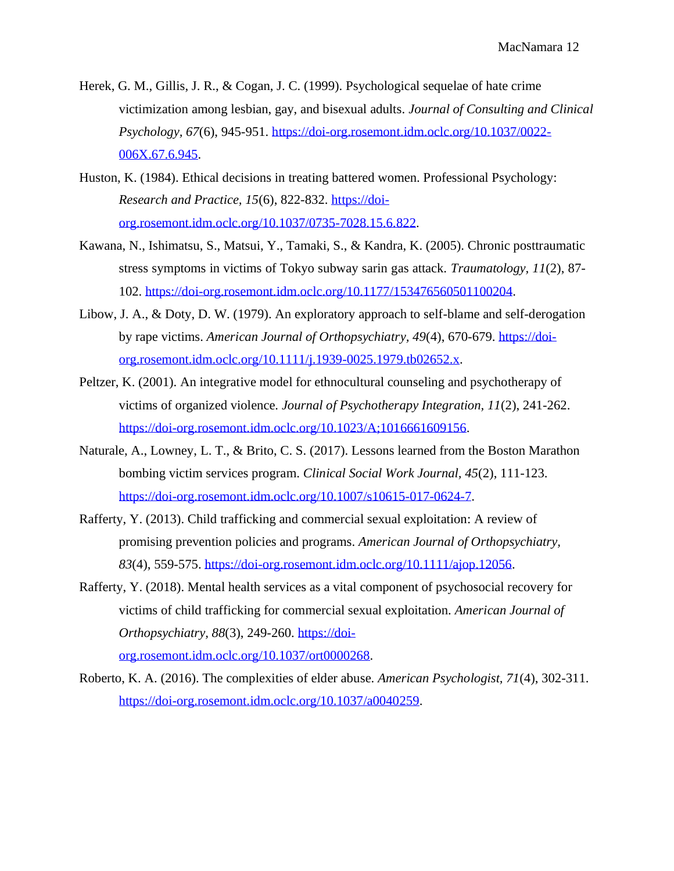- Herek, G. M., Gillis, J. R., & Cogan, J. C. (1999). Psychological sequelae of hate crime victimization among lesbian, gay, and bisexual adults. *Journal of Consulting and Clinical Psychology, 67*(6), 945-951. [https://doi-org.rosemont.idm.oclc.org/10.1037/0022-](https://doi-org.rosemont.idm.oclc.org/10.1037/0022-006X.67.6.945) [006X.67.6.945.](https://doi-org.rosemont.idm.oclc.org/10.1037/0022-006X.67.6.945)
- Huston, K. (1984). Ethical decisions in treating battered women. Professional Psychology: *Research and Practice, 15*(6), 822-832. [https://doi](https://doi-org.rosemont.idm.oclc.org/10.1037/0735-7028.15.6.822)[org.rosemont.idm.oclc.org/10.1037/0735-7028.15.6.822.](https://doi-org.rosemont.idm.oclc.org/10.1037/0735-7028.15.6.822)
- Kawana, N., Ishimatsu, S., Matsui, Y., Tamaki, S., & Kandra, K. (2005). Chronic posttraumatic stress symptoms in victims of Tokyo subway sarin gas attack. *Traumatology, 11*(2), 87- 102. [https://doi-org.rosemont.idm.oclc.org/10.1177/153476560501100204.](https://doi-org.rosemont.idm.oclc.org/10.1177/153476560501100204)
- Libow, J. A., & Doty, D. W. (1979). An exploratory approach to self-blame and self-derogation by rape victims. *American Journal of Orthopsychiatry, 49*(4), 670-679. [https://doi](https://doi-org.rosemont.idm.oclc.org/10.1111/j.1939-0025.1979.tb02652.x)[org.rosemont.idm.oclc.org/10.1111/j.1939-0025.1979.tb02652.x.](https://doi-org.rosemont.idm.oclc.org/10.1111/j.1939-0025.1979.tb02652.x)
- Peltzer, K. (2001). An integrative model for ethnocultural counseling and psychotherapy of victims of organized violence. *Journal of Psychotherapy Integration, 11*(2), 241-262. [https://doi-org.rosemont.idm.oclc.org/10.1023/A;1016661609156.](https://doi-org.rosemont.idm.oclc.org/10.1023/A%3B1016661609156)
- Naturale, A., Lowney, L. T., & Brito, C. S. (2017). Lessons learned from the Boston Marathon bombing victim services program. *Clinical Social Work Journal, 45*(2), 111-123. [https://doi-org.rosemont.idm.oclc.org/10.1007/s10615-017-0624-7.](https://doi-org.rosemont.idm.oclc.org/10.1007/s10615-017-0624-7)
- Rafferty, Y. (2013). Child trafficking and commercial sexual exploitation: A review of promising prevention policies and programs. *American Journal of Orthopsychiatry, 83*(4), 559-575. [https://doi-org.rosemont.idm.oclc.org/10.1111/ajop.12056.](https://doi-org.rosemont.idm.oclc.org/10.1111/ajop.12056)
- Rafferty, Y. (2018). Mental health services as a vital component of psychosocial recovery for victims of child trafficking for commercial sexual exploitation. *American Journal of Orthopsychiatry, 88*(3), 249-260. [https://doi](https://doi-org.rosemont.idm.oclc.org/10.1037/ort0000268)[org.rosemont.idm.oclc.org/10.1037/ort0000268.](https://doi-org.rosemont.idm.oclc.org/10.1037/ort0000268)
- Roberto, K. A. (2016). The complexities of elder abuse. *American Psychologist, 71*(4), 302-311. [https://doi-org.rosemont.idm.oclc.org/10.1037/a0040259.](https://doi-org.rosemont.idm.oclc.org/10.1037/a0040259)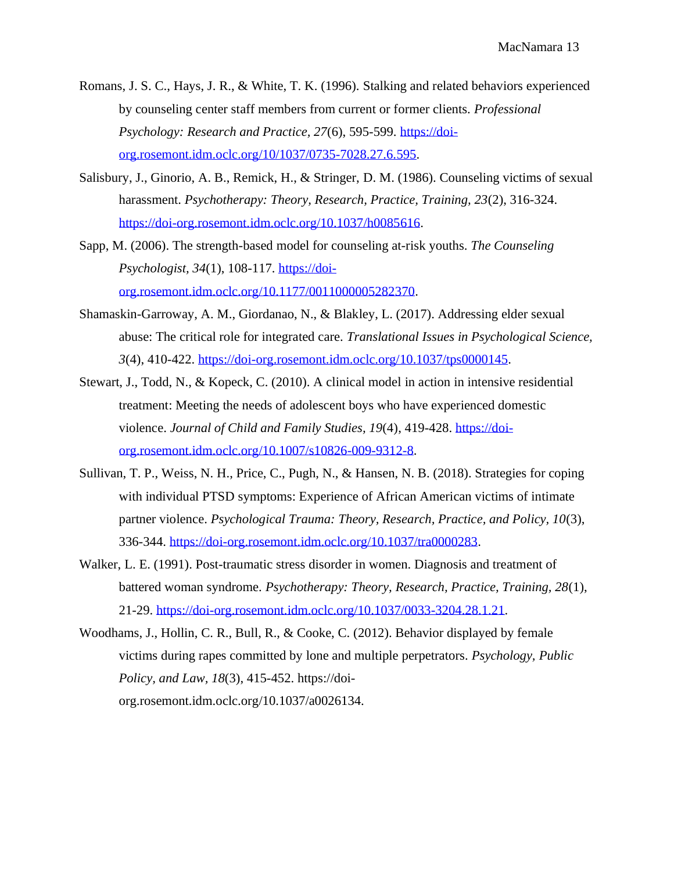- Romans, J. S. C., Hays, J. R., & White, T. K. (1996). Stalking and related behaviors experienced by counseling center staff members from current or former clients. *Professional Psychology: Research and Practice, 27*(6), 595-599. [https://doi](https://doi-org.rosemont.idm.oclc.org/10/1037/0735-7028.27.6.595)[org.rosemont.idm.oclc.org/10/1037/0735-7028.27.6.595.](https://doi-org.rosemont.idm.oclc.org/10/1037/0735-7028.27.6.595)
- Salisbury, J., Ginorio, A. B., Remick, H., & Stringer, D. M. (1986). Counseling victims of sexual harassment. *Psychotherapy: Theory, Research, Practice, Training, 23*(2), 316-324. [https://doi-org.rosemont.idm.oclc.org/10.1037/h0085616.](https://doi-org.rosemont.idm.oclc.org/10.1037/h0085616)
- Sapp, M. (2006). The strength-based model for counseling at-risk youths. *The Counseling Psychologist, 34*(1), 108-117. [https://doi](https://doi-org.rosemont.idm.oclc.org/10.1177/0011000005282370)[org.rosemont.idm.oclc.org/10.1177/0011000005282370.](https://doi-org.rosemont.idm.oclc.org/10.1177/0011000005282370)
- Shamaskin-Garroway, A. M., Giordanao, N., & Blakley, L. (2017). Addressing elder sexual abuse: The critical role for integrated care. *Translational Issues in Psychological Science, 3*(4), 410-422. [https://doi-org.rosemont.idm.oclc.org/10.1037/tps0000145.](https://doi-org.rosemont.idm.oclc.org/10.1037/tps0000145)
- Stewart, J., Todd, N., & Kopeck, C. (2010). A clinical model in action in intensive residential treatment: Meeting the needs of adolescent boys who have experienced domestic violence. *Journal of Child and Family Studies, 19*(4), 419-428. [https://doi](https://doi-org.rosemont.idm.oclc.org/10.1007/s10826-009-9312-8)[org.rosemont.idm.oclc.org/10.1007/s10826-009-9312-8.](https://doi-org.rosemont.idm.oclc.org/10.1007/s10826-009-9312-8)
- Sullivan, T. P., Weiss, N. H., Price, C., Pugh, N., & Hansen, N. B. (2018). Strategies for coping with individual PTSD symptoms: Experience of African American victims of intimate partner violence. *Psychological Trauma: Theory, Research, Practice, and Policy, 10*(3), 336-344. [https://doi-org.rosemont.idm.oclc.org/10.1037/tra0000283.](https://doi-org.rosemont.idm.oclc.org/10.1037/tra0000283)
- Walker, L. E. (1991). Post-traumatic stress disorder in women. Diagnosis and treatment of battered woman syndrome. *Psychotherapy: Theory, Research, Practice, Training, 28*(1), 21-29. [https://doi-org.rosemont.idm.oclc.org/10.1037/0033-3204.28.1.21.](https://doi-org.rosemont.idm.oclc.org/10.1037/0033-3204.28.1.21)
- Woodhams, J., Hollin, C. R., Bull, R., & Cooke, C. (2012). Behavior displayed by female victims during rapes committed by lone and multiple perpetrators. *Psychology, Public Policy, and Law, 18*(3), 415-452. https://doiorg.rosemont.idm.oclc.org/10.1037/a0026134.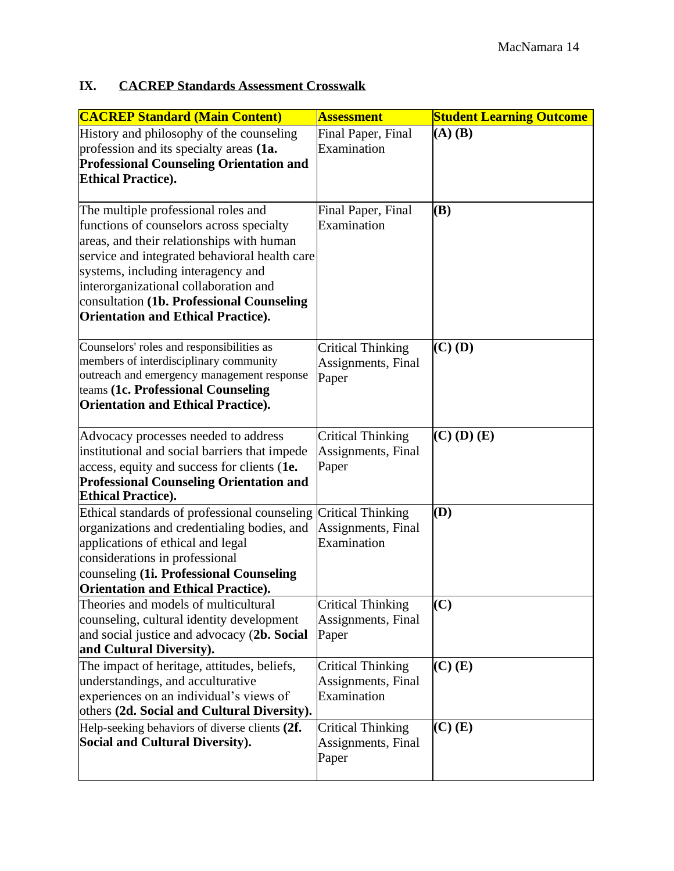# **IX. CACREP Standards Assessment Crosswalk**

| <b>CACREP Standard (Main Content)</b>                                                                                                                                                                                                                                                                                                                  | <b>Assessment</b>                                             | <b>Student Learning Outcome</b> |
|--------------------------------------------------------------------------------------------------------------------------------------------------------------------------------------------------------------------------------------------------------------------------------------------------------------------------------------------------------|---------------------------------------------------------------|---------------------------------|
| History and philosophy of the counseling<br>profession and its specialty areas (1a.<br><b>Professional Counseling Orientation and</b><br><b>Ethical Practice).</b>                                                                                                                                                                                     | Final Paper, Final<br>Examination                             | $(A)$ $(B)$                     |
| The multiple professional roles and<br>functions of counselors across specialty<br>areas, and their relationships with human<br>service and integrated behavioral health care<br>systems, including interagency and<br>interorganizational collaboration and<br>consultation (1b. Professional Counseling<br><b>Orientation and Ethical Practice).</b> | Final Paper, Final<br>Examination                             | (B)                             |
| Counselors' roles and responsibilities as<br>members of interdisciplinary community<br>outreach and emergency management response<br>teams (1c. Professional Counseling<br><b>Orientation and Ethical Practice).</b>                                                                                                                                   | <b>Critical Thinking</b><br>Assignments, Final<br>Paper       | $(C)$ (D)                       |
| Advocacy processes needed to address<br>institutional and social barriers that impede<br>access, equity and success for clients (1e.<br><b>Professional Counseling Orientation and</b><br><b>Ethical Practice).</b>                                                                                                                                    | <b>Critical Thinking</b><br>Assignments, Final<br>Paper       | $(C)$ (D) $(E)$                 |
| Ethical standards of professional counseling<br>organizations and credentialing bodies, and<br>applications of ethical and legal<br>considerations in professional<br>counseling (1i. Professional Counseling<br><b>Orientation and Ethical Practice).</b>                                                                                             | <b>Critical Thinking</b><br>Assignments, Final<br>Examination | (D)                             |
| Theories and models of multicultural<br>counseling, cultural identity development<br>and social justice and advocacy (2b. Social<br>and Cultural Diversity).                                                                                                                                                                                           | <b>Critical Thinking</b><br>Assignments, Final<br>Paper       | (C)                             |
| The impact of heritage, attitudes, beliefs,<br>understandings, and acculturative<br>experiences on an individual's views of<br>others (2d. Social and Cultural Diversity).                                                                                                                                                                             | <b>Critical Thinking</b><br>Assignments, Final<br>Examination | $(C)$ $(E)$                     |
| Help-seeking behaviors of diverse clients (2f.<br><b>Social and Cultural Diversity).</b>                                                                                                                                                                                                                                                               | Critical Thinking<br>Assignments, Final<br>Paper              | $(C)$ $(E)$                     |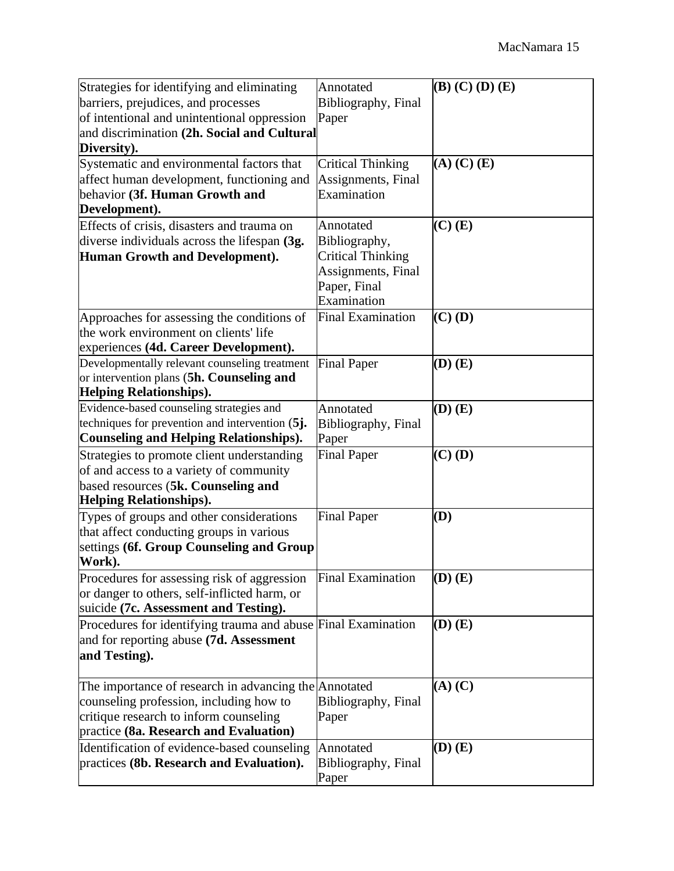| Strategies for identifying and eliminating                                                       | Annotated                | $(B)$ (C) (D) (E) |
|--------------------------------------------------------------------------------------------------|--------------------------|-------------------|
| barriers, prejudices, and processes                                                              | Bibliography, Final      |                   |
| of intentional and unintentional oppression                                                      | Paper                    |                   |
| and discrimination (2h. Social and Cultural                                                      |                          |                   |
| Diversity).                                                                                      |                          |                   |
| Systematic and environmental factors that                                                        | <b>Critical Thinking</b> | $(A)$ $(C)$ $(E)$ |
| affect human development, functioning and                                                        | Assignments, Final       |                   |
| behavior (3f. Human Growth and                                                                   | Examination              |                   |
| Development).                                                                                    |                          |                   |
| Effects of crisis, disasters and trauma on                                                       | Annotated                | $(C)$ $(E)$       |
| diverse individuals across the lifespan (3g.                                                     | Bibliography,            |                   |
| Human Growth and Development).                                                                   | <b>Critical Thinking</b> |                   |
|                                                                                                  | Assignments, Final       |                   |
|                                                                                                  | Paper, Final             |                   |
|                                                                                                  | Examination              |                   |
| Approaches for assessing the conditions of                                                       | <b>Final Examination</b> | $(C)$ (D)         |
| the work environment on clients' life                                                            |                          |                   |
| experiences (4d. Career Development).                                                            |                          |                   |
| Developmentally relevant counseling treatment                                                    | <b>Final Paper</b>       | $(D)$ $(E)$       |
| or intervention plans (5h. Counseling and                                                        |                          |                   |
| <b>Helping Relationships).</b>                                                                   |                          |                   |
| Evidence-based counseling strategies and                                                         | Annotated                | $(D)$ $(E)$       |
| techniques for prevention and intervention (5j.                                                  | Bibliography, Final      |                   |
| <b>Counseling and Helping Relationships).</b>                                                    | Paper                    |                   |
| Strategies to promote client understanding                                                       | <b>Final Paper</b>       | $(C)$ (D)         |
| of and access to a variety of community                                                          |                          |                   |
| based resources (5k. Counseling and                                                              |                          |                   |
| <b>Helping Relationships).</b>                                                                   |                          |                   |
| Types of groups and other considerations                                                         | <b>Final Paper</b>       | (D)               |
| that affect conducting groups in various                                                         |                          |                   |
| settings (6f. Group Counseling and Group                                                         |                          |                   |
| Work).                                                                                           |                          |                   |
| Procedures for assessing risk of aggression                                                      | <b>Final Examination</b> | $(D)$ $(E)$       |
| or danger to others, self-inflicted harm, or<br>suicide (7c. Assessment and Testing).            |                          |                   |
|                                                                                                  | <b>Final Examination</b> |                   |
| Procedures for identifying trauma and abuse                                                      |                          | $(D)$ $(E)$       |
| and for reporting abuse (7d. Assessment                                                          |                          |                   |
| and Testing).                                                                                    |                          |                   |
|                                                                                                  |                          | $(A)$ $(C)$       |
| The importance of research in advancing the Annotated<br>counseling profession, including how to | Bibliography, Final      |                   |
| critique research to inform counseling                                                           | Paper                    |                   |
| practice (8a. Research and Evaluation)                                                           |                          |                   |
| Identification of evidence-based counseling                                                      | Annotated                | $(D)$ $(E)$       |
| practices (8b. Research and Evaluation).                                                         | Bibliography, Final      |                   |
|                                                                                                  | Paper                    |                   |